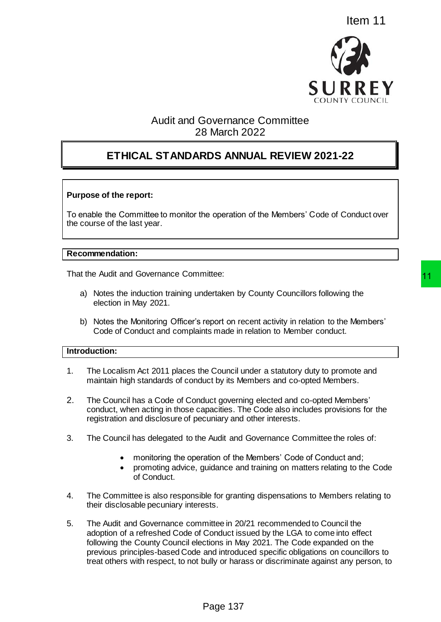

# Audit and Governance Committee 28 March 2022

# **ETHICAL STANDARDS ANNUAL REVIEW 2021-22**

# **Purpose of the report:**

To enable the Committee to monitor the operation of the Members' Code of Conduct over the course of the last year.

# **Recommendation:**

That the Audit and Governance Committee:

- a) Notes the induction training undertaken by County Councillors following the election in May 2021.
- b) Notes the Monitoring Officer's report on recent activity in relation to the Members' Code of Conduct and complaints made in relation to Member conduct.

# **Introduction:**

- 1. The Localism Act 2011 places the Council under a statutory duty to promote and maintain high standards of conduct by its Members and co-opted Members.
- 2. The Council has a Code of Conduct governing elected and co-opted Members' conduct, when acting in those capacities. The Code also includes provisions for the registration and disclosure of pecuniary and other interests.
- 3. The Council has delegated to the Audit and Governance Committee the roles of:
	- monitoring the operation of the Members' Code of Conduct and;
	- promoting advice, guidance and training on matters relating to the Code of Conduct.
- 4. The Committee is also responsible for granting dispensations to Members relating to their disclosable pecuniary interests.
- 5. The Audit and Governance committee in 20/21 recommended to Council the adoption of a refreshed Code of Conduct issued by the LGA to come into effect following the County Council elections in May 2021. The Code expanded on the previous principles-based Code and introduced specific obligations on councillors to treat others with respect, to not bully or harass or discriminate against any person, to Item 11<br>
SURREY<br>
SOURREY<br>
SOURREY<br>
SOURREY<br>
SOURREY<br>
BOWNTHING ANNUAL REVIEW 2021-22<br>
RDS ANNUAL REVIEW 2021-22<br>
RDS ANNUAL REVIEW 2021-22<br>
The operation of the Members' Code of Conduct over<br>
The operation of the Members'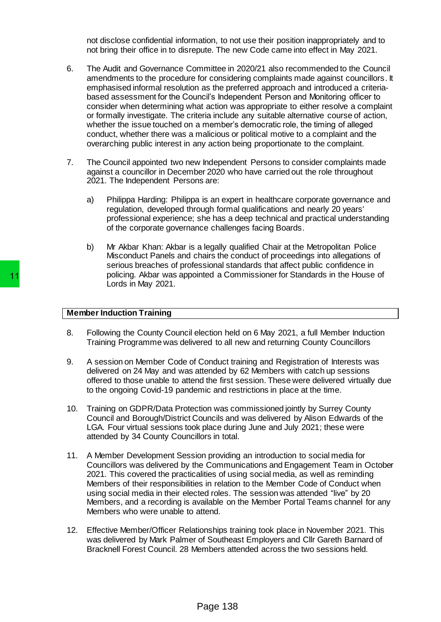not disclose confidential information, to not use their position inappropriately and to not bring their office in to disrepute. The new Code came into effect in May 2021.

- 6. The Audit and Governance Committee in 2020/21 also recommended to the Council amendments to the procedure for considering complaints made against councillors. It emphasised informal resolution as the preferred approach and introduced a criteriabased assessment for the Council's Independent Person and Monitoring officer to consider when determining what action was appropriate to either resolve a complaint or formally investigate. The criteria include any suitable alternative course of action, whether the issue touched on a member's democratic role, the timing of alleged conduct, whether there was a malicious or political motive to a complaint and the overarching public interest in any action being proportionate to the complaint.
- 7. The Council appointed two new Independent Persons to consider complaints made against a councillor in December 2020 who have carried out the role throughout 2021. The Independent Persons are:
	- a) Philippa Harding: Philippa is an expert in healthcare corporate governance and regulation, developed through formal qualifications and nearly 20 years' professional experience; she has a deep technical and practical understanding of the corporate governance challenges facing Boards.
	- b) Mr Akbar Khan: Akbar is a legally qualified Chair at the Metropolitan Police Misconduct Panels and chairs the conduct of proceedings into allegations of serious breaches of professional standards that affect public confidence in policing. Akbar was appointed a Commissioner for Standards in the House of Lords in May 2021.

# **Member Induction Training**

- 8. Following the County Council election held on 6 May 2021, a full Member Induction Training Programme was delivered to all new and returning County Councillors
- 9. A session on Member Code of Conduct training and Registration of Interests was delivered on 24 May and was attended by 62 Members with catch up sessions offered to those unable to attend the first session. These were delivered virtually due to the ongoing Covid-19 pandemic and restrictions in place at the time.
- 10. Training on GDPR/Data Protection was commissioned jointly by Surrey County Council and Borough/District Councils and was delivered by Alison Edwards of the LGA. Four virtual sessions took place during June and July 2021; these were attended by 34 County Councillors in total.
- 11. A Member Development Session providing an introduction to social media for Councillors was delivered by the Communications and Engagement Team in October 2021. This covered the practicalities of using social media, as well as reminding Members of their responsibilities in relation to the Member Code of Conduct when using social media in their elected roles. The session was attended "live" by 20 Members, and a recording is available on the Member Portal Teams channel for any Members who were unable to attend. policing. Akbar was appointed a Com<br>
Lords in May 2021.<br>
Member Induction Training<br>
8. Following the County Council election helc<br>
Training Programme was delivered to all<br>
9. A session on Member Code of Conduct training<br>
d
	- 12. Effective Member/Officer Relationships training took place in November 2021. This was delivered by Mark Palmer of Southeast Employers and Cllr Gareth Barnard of Bracknell Forest Council. 28 Members attended across the two sessions held.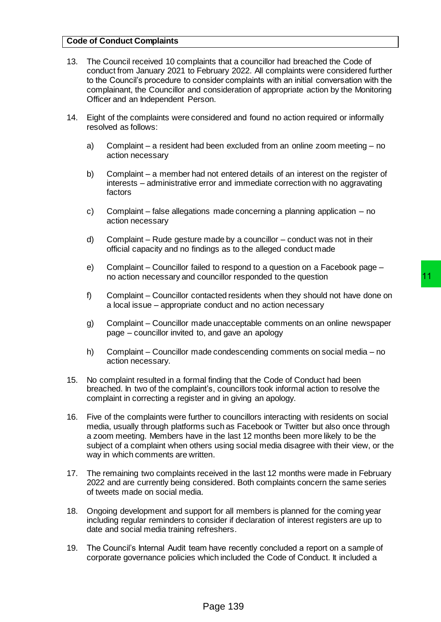# **Code of Conduct Complaints**

- 13. The Council received 10 complaints that a councillor had breached the Code of conduct from January 2021 to February 2022. All complaints were considered further to the Council's procedure to consider complaints with an initial conversation with the complainant, the Councillor and consideration of appropriate action by the Monitoring Officer and an Independent Person.
- 14. Eight of the complaints were considered and found no action required or informally resolved as follows:
	- a) Complaint a resident had been excluded from an online zoom meeting no action necessary
	- b) Complaint a member had not entered details of an interest on the register of interests – administrative error and immediate correction with no aggravating factors
	- c) Complaint false allegations made concerning a planning application no action necessary
	- d) Complaint Rude gesture made by a councillor conduct was not in their official capacity and no findings as to the alleged conduct made
	- e) Complaint Councillor failed to respond to a question on a Facebook page no action necessary and councillor responded to the question
	- f) Complaint Councillor contacted residents when they should not have done on a local issue – appropriate conduct and no action necessary
	- g) Complaint Councillor made unacceptable comments on an online newspaper page – councillor invited to, and gave an apology
	- h) Complaint Councillor made condescending comments on social media no action necessary.
- 15. No complaint resulted in a formal finding that the Code of Conduct had been breached. In two of the complaint's, councillors took informal action to resolve the complaint in correcting a register and in giving an apology.
- 16. Five of the complaints were further to councillors interacting with residents on social media, usually through platforms such as Facebook or Twitter but also once through a zoom meeting. Members have in the last 12 months been more likely to be the subject of a complaint when others using social media disagree with their view, or the way in which comments are written. buncillor responded to the question<br>tacted residents when they should not have done on<br>conduct and no action necessary<br>de unacceptable comments on an online newspaper<br>a, and gave an apology<br>de condescending comments on soc
- 17. The remaining two complaints received in the last 12 months were made in February 2022 and are currently being considered. Both complaints concern the same series of tweets made on social media.
- 18. Ongoing development and support for all members is planned for the coming year including regular reminders to consider if declaration of interest registers are up to date and social media training refreshers.
- 19. The Council's Internal Audit team have recently concluded a report on a sample of corporate governance policies which included the Code of Conduct. It included a